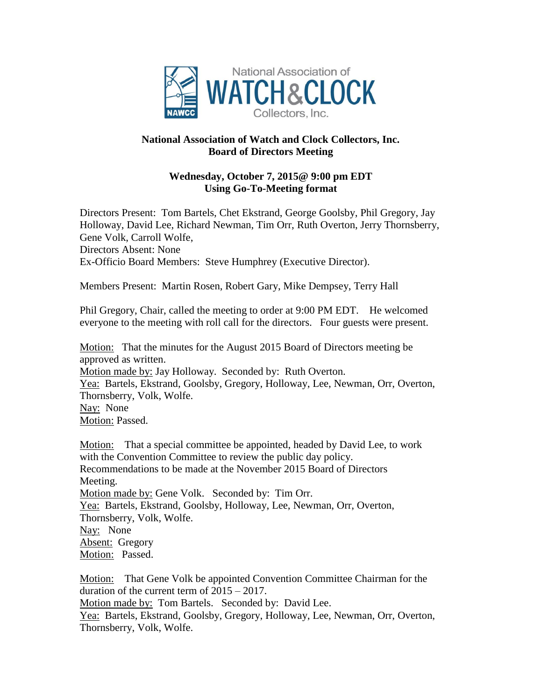

## **National Association of Watch and Clock Collectors, Inc. Board of Directors Meeting**

## **Wednesday, October 7, 2015@ 9:00 pm EDT Using Go-To-Meeting format**

Directors Present: Tom Bartels, Chet Ekstrand, George Goolsby, Phil Gregory, Jay Holloway, David Lee, Richard Newman, Tim Orr, Ruth Overton, Jerry Thornsberry, Gene Volk, Carroll Wolfe,

Directors Absent: None Ex-Officio Board Members: Steve Humphrey (Executive Director).

Members Present: Martin Rosen, Robert Gary, Mike Dempsey, Terry Hall

Phil Gregory, Chair, called the meeting to order at 9:00 PM EDT. He welcomed everyone to the meeting with roll call for the directors. Four guests were present.

Motion: That the minutes for the August 2015 Board of Directors meeting be approved as written. Motion made by: Jay Holloway. Seconded by: Ruth Overton. Yea: Bartels, Ekstrand, Goolsby, Gregory, Holloway, Lee, Newman, Orr, Overton, Thornsberry, Volk, Wolfe. Nay: None Motion: Passed.

Motion: That a special committee be appointed, headed by David Lee, to work with the Convention Committee to review the public day policy. Recommendations to be made at the November 2015 Board of Directors Meeting. Motion made by: Gene Volk. Seconded by: Tim Orr. Yea: Bartels, Ekstrand, Goolsby, Holloway, Lee, Newman, Orr, Overton, Thornsberry, Volk, Wolfe. Nay: None Absent: Gregory Motion: Passed.

Motion: That Gene Volk be appointed Convention Committee Chairman for the duration of the current term of 2015 – 2017.

Motion made by: Tom Bartels. Seconded by: David Lee.

Yea: Bartels, Ekstrand, Goolsby, Gregory, Holloway, Lee, Newman, Orr, Overton, Thornsberry, Volk, Wolfe.